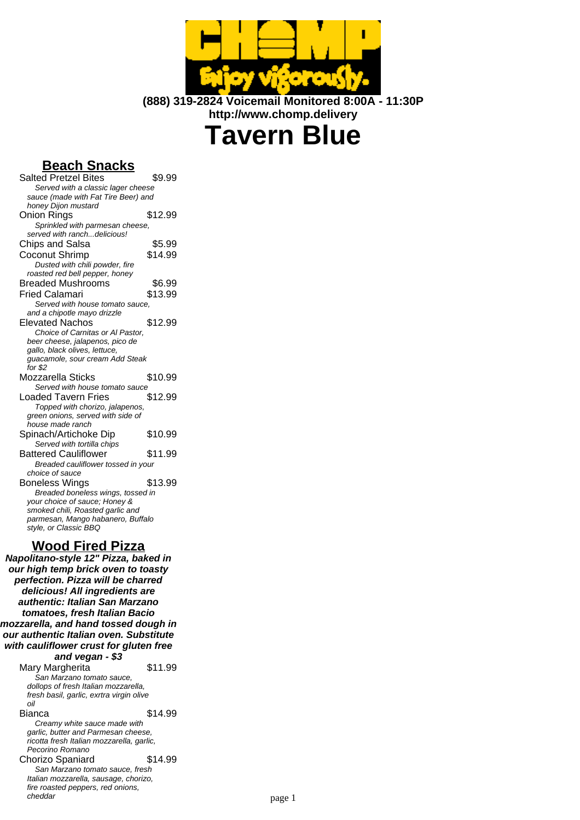

**(888) 319-2824 Voicemail Monitored 8:00A - 11:30P http://www.chomp.delivery**

# **Tavern Blue**

## **Beach Snacks**

| <b>Salted Pretzel Bites</b>                | \$9.99  |  |
|--------------------------------------------|---------|--|
| Served with a classic lager cheese         |         |  |
| sauce (made with Fat Tire Beer) and        |         |  |
| honey Dijon mustard                        |         |  |
| Onion Rings                                | \$12.99 |  |
| Sprinkled with parmesan cheese,            |         |  |
| served with ranchdelicious!                |         |  |
| Chips and Salsa                            | \$5.99  |  |
| Coconut Shrimp                             | \$14.99 |  |
| Dusted with chili powder, fire             |         |  |
| roasted red bell pepper, honey             |         |  |
| <b>Breaded Mushrooms</b>                   | \$6.99  |  |
| Fried Calamari                             | \$13.99 |  |
| Served with house tomato sauce,            |         |  |
| and a chipotle mayo drizzle                |         |  |
| <b>Elevated Nachos</b>                     | \$12.99 |  |
| Choice of Carnitas or Al Pastor.           |         |  |
| beer cheese, jalapenos, pico de            |         |  |
| gallo, black olives, lettuce,              |         |  |
| guacamole, sour cream Add Steak<br>for \$2 |         |  |
| Mozzarella Sticks                          | \$10.99 |  |
| Served with house tomato sauce             |         |  |
| Loaded Tavern Fries                        | \$12.99 |  |
| Topped with chorizo, jalapenos,            |         |  |
| green onions, served with side of          |         |  |
| house made ranch                           |         |  |
| Spinach/Artichoke Dip                      | \$10.99 |  |
| Served with tortilla chips                 |         |  |
| <b>Battered Cauliflower</b>                | \$11.99 |  |
| Breaded cauliflower tossed in your         |         |  |
| choice of sauce                            |         |  |
| Boneless Wings                             | \$13.99 |  |
| Breaded boneless wings, tossed in          |         |  |
| your choice of sauce; Honey &              |         |  |
| smoked chili, Roasted garlic and           |         |  |
| parmesan, Mango habanero, Buffalo          |         |  |
| style, or Classic BBQ                      |         |  |
|                                            |         |  |

## **Wood Fired Pizza**

**Napolitano-style 12" Pizza, baked in our high temp brick oven to toasty perfection. Pizza will be charred delicious! All ingredients are authentic: Italian San Marzano tomatoes, fresh Italian Bacio mozzarella, and hand tossed dough in our authentic Italian oven. Substitute with cauliflower crust for gluten free and vegan - \$3**

Mary Margherita  $$11.99$ San Marzano tomato sauce, dollops of fresh Italian mozzarella, fresh basil, garlic, exrtra virgin olive oil **Bianca** \$14.99 Creamy white sauce made with garlic, butter and Parmesan cheese, ricotta fresh Italian mozzarella, garlic, Pecorino Romano Chorizo Spaniard \$14.99

San Marzano tomato sauce, fresh Italian mozzarella, sausage, chorizo, fire roasted peppers, red onions,<br>cheddar cheddar page 1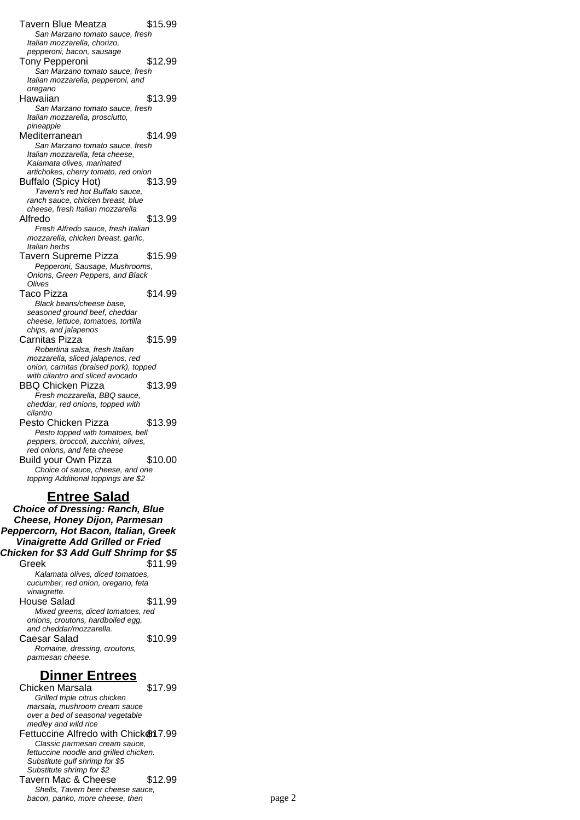Tavern Blue Meatza  $$15.99$ San Marzano tomato sauce, fresh Italian mozzarella, chorizo, pepperoni, bacon, sausage Tony Pepperoni \$12.99 San Marzano tomato sauce, fresh Italian mozzarella, pepperoni, and oregano Hawaiian \$13.99 San Marzano tomato sauce, fresh Italian mozzarella, prosciutto, pineapple Mediterranean \$14.99 San Marzano tomato sauce, fresh Italian mozzarella, feta cheese, Kalamata olives, marinated artichokes, cherry tomato, red onion Buffalo (Spicy Hot) \$13.99 Tavern's red hot Buffalo sauce, ranch sauce, chicken breast, blue cheese, fresh Italian mozzarella Alfredo \$13.99 Fresh Alfredo sauce, fresh Italian mozzarella, chicken breast, garlic, Italian herbs Tavern Supreme Pizza \$15.99 Pepperoni, Sausage, Mushrooms, Onions, Green Peppers, and Black **Olives** Taco Pizza  $$14.99$ Black beans/cheese base, seasoned ground beef, cheddar cheese, lettuce, tomatoes, tortilla chips, and jalapenos Carnitas Pizza \$15.99 Robertina salsa, fresh Italian mozzarella, sliced jalapenos, red onion, carnitas (braised pork), topped with cilantro and sliced avocado BBQ Chicken Pizza \$13.99 Fresh mozzarella, BBQ sauce, cheddar, red onions, topped with cilantro Pesto Chicken Pizza \$13.99 Pesto topped with tomatoes, bell peppers, broccoli, zucchini, olives, red onions, and feta cheese Build your Own Pizza \$10.00 Choice of sauce, cheese, and one topping Additional toppings are \$2

#### **Entree Salad**

**Choice of Dressing: Ranch, Blue Cheese, Honey Dijon, Parmesan Peppercorn, Hot Bacon, Italian, Greek Vinaigrette Add Grilled or Fried Chicken for \$3 Add Gulf Shrimp for \$5** Greek \$11.99 Kalamata olives, diced tomatoes, cucumber, red onion, oregano, feta vinaigrette. House Salad \$11.99 Mixed greens, diced tomatoes, red onions, croutons, hardboiled egg, and cheddar/mozzarella. Caesar Salad \$10.99 Romaine, dressing, croutons, parmesan cheese.

#### **Dinner Entrees**

Chicken Marsala \$17.99 Grilled triple citrus chicken marsala, mushroom cream sauce over a bed of seasonal vegetable medley and wild rice Fettuccine Alfredo with Chicken 7.99 Classic parmesan cream sauce, fettuccine noodle and grilled chicken. Substitute gulf shrimp for \$5 Substitute shrimp for \$2 Tavern Mac & Cheese \$12.99 Shells, Tavern beer cheese sauce, bacon, panko, more cheese, then page 2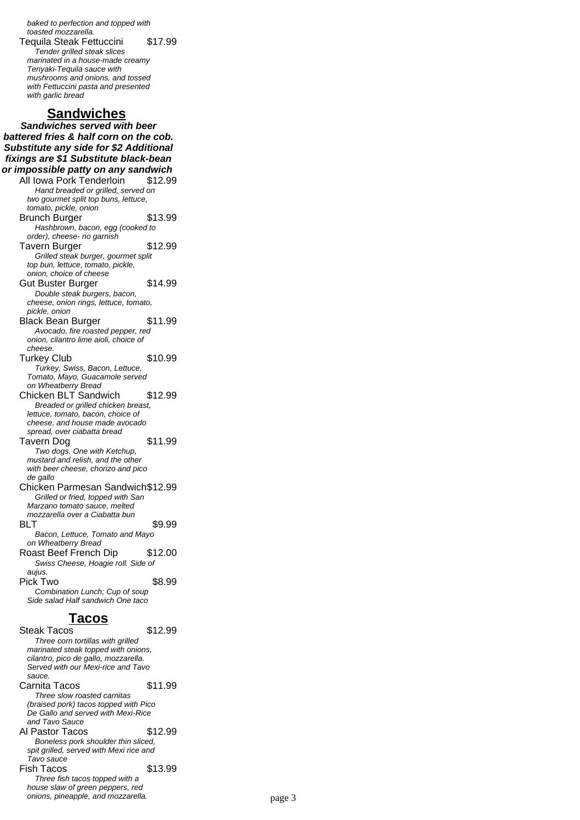baked to perfection and topped with toasted mozzarella. Tequila Steak Fettuccini \$17.99 Tender grilled steak slices marinated in a house-made creamy Teriyaki-Tequila sauce with mushrooms and onions, and tossed with Fettuccini pasta and presented with garlic bread

## **Sandwiches**

**Sandwiches served with beer battered fries & half corn on the cob. Substitute any side for \$2 Additional fixings are \$1 Substitute black-bean or impossible patty on any sandwich** All Iowa Pork Tenderloin \$12.99 Hand breaded or grilled, served on two gourmet split top buns, lettuce, tomato, pickle, onion Brunch Burger \$13.99 Hashbrown, bacon, egg (cooked to order), cheese- no garnish Tavern Burger \$12.99 Grilled steak burger, gourmet split top bun, lettuce, tomato, pickle, onion, choice of cheese Gut Buster Burger \$14.99 Double steak burgers, bacon, cheese, onion rings, lettuce, tomato, pickle, onion Black Bean Burger \$11.99 Avocado, fire roasted pepper, red onion, cilantro lime aioli, choice of cheese. Turkey Club \$10.99 Turkey, Swiss, Bacon, Lettuce, Tomato, Mayo, Guacamole served on Wheatberry Bread Chicken BLT Sandwich \$12.99 Breaded or grilled chicken breast, lettuce, tomato, bacon, choice of cheese, and house made avocado spread, over ciabatta bread Tavern Dog \$11.99 Two dogs. One with Ketchup, mustard and relish, and the other with beer cheese, chorizo and pico de gallo Chicken Parmesan Sandwich\$12.99 Grilled or fried, topped with San Marzano tomato sauce, melted mozzarella over a Ciabatta bun BLT \$9.99 Bacon, Lettuce, Tomato and Mayo on Wheatberry Bread Roast Beef French Dip \$12.00 Swiss Cheese, Hoagie roll. Side of aujus. Pick Two \$8.99 Combination Lunch; Cup of soup Side salad Half sandwich One taco

#### **Tacos**

Steak Tacos \$12.99 Three corn tortillas with grilled marinated steak topped with onions, cilantro, pico de gallo, mozzarella. Served with our Mexi-rice and Tavo sauce. Carnita Tacos \$11.99 Three slow roasted carnitas (braised pork) tacos topped with Pico De Gallo and served with Mexi-Rice and Tavo Sauce Al Pastor Tacos \$12.99 Boneless pork shoulder thin sliced, spit grilled, served with Mexi rice and Tavo sauce Fish Tacos \$13.99 Three fish tacos topped with a house slaw of green peppers, red onions, pineapple, and mozzarella. example to the page 3